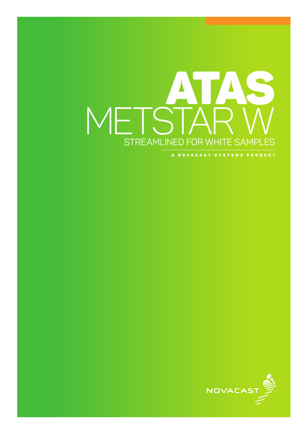# ATAS METS<sup>®</sup> STREAMLINED FOR WHITE SAMPLES

A NOVACAST SYSTEMS PRODUCT

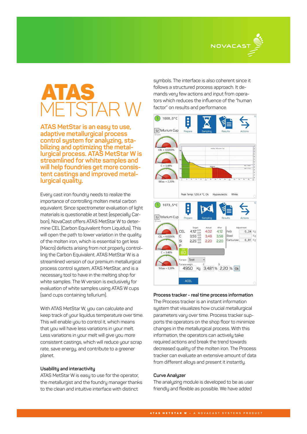

# ATAS METSTAR W

**ATAS MetStar is an easy to use, adaptive metallurgical process control system for analyzing, stabilizing and optimizing the metallurgical process. ATAS MetStar W is streamlined for white samples and will help foundries get more consistent castings and improved metal- lurgical quality.**

Every cast iron foundry needs to realize the importance of controlling molten metal carbon equivalent. Since spectrometer evaluation of light materials is questionable at best (especially Carbon), NovaCast offers ATAS MetStar W to determine CEL (Carbon Equivalent from Liquidus). This will open the path to lower variation in the quality of the molten iron, which is essential to get less (Macro) defects arising from not properly controlling the Carbon Equivalent. ATAS MetStar W is a streamlined version of our premium metallurgical process control system, ATAS MetStar, and is a necessary tool to have in the melting shop for white samples. The W version is exclusively for evaluation of white samples using ATAS W cups (sand cups containing tellurium).

With ATAS MetStar W, you can calculate and keep track of your liquidus temperature over time. This will enable you to control it, which means that you will have less variations in your melt. Less variations in your melt will give you more consistent castings, which will reduce your scrap rate, save energy, and contribute to a greener planet.

## **Usability and interactivity**

ATAS MetStar W is easy to use for the operator, the metallurgist and the foundry manager thanks to the clean and intuitive interface with distinct

symbols. The interface is also coherent since it follows a structured process approach. It demands very few actions and input from operators which reduces the influence of the "human factor" on results and performance.



#### **Process tracker - real time process information**

The Process tracker is an instant information system that visualizes how crucial metallurgical parameters vary over time. Process tracker supports the operators on the shop floor to minimize changes in the metallurgical process. With this information, the operators can actively take required actions and break the trend towards decreased quality of the molten iron. The Process tracker can evaluate an extensive amount of data from different alloys and present it instantly.

#### **Curve Analyzer**

The analyzing module is developed to be as user friendly and flexible as possible. We have added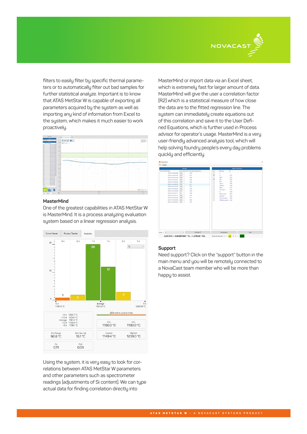

filters to easily filter by specific thermal parameters or to automatically filter out bad samples for further statistical analyze. Important is to know that ATAS MetStar W is capable of exporting all parameters acquired by the system as well as importing any kind of information from Excel to the system, which makes it much easier to work proactively.



### **MasterMind**

One of the greatest capabilities in ATAS MetStar W is MasterMind. It is a process analyzing evaluation system based on a linear regression analysis.



Using the system, it is very easy to look for correlations between ATAS MetStar W parameters and other parameters such as spectrometer readings (adjustments of Si content). We can tupe actual data for finding correlation directly into

MasterMind or import data via an Excel sheet, which is extremely fast for larger amount of data. MasterMind will give the user a correlation factor (R2) which is a statistical measure of how close the data are to the fitted regression line. The system can immediately create equations out of this correlation and save it to the User Defined Equations, which is further used in Process advisor for operator's usage. MasterMind is a very user-friendly advanced analysis tool, which will help solving foundry people's every day problems quickly and efficiently.



#### **Support**

Need support? Click on the "support" button in the main menu and you will be remotely connected to a NovaCast team member who will be more than happy to assist.